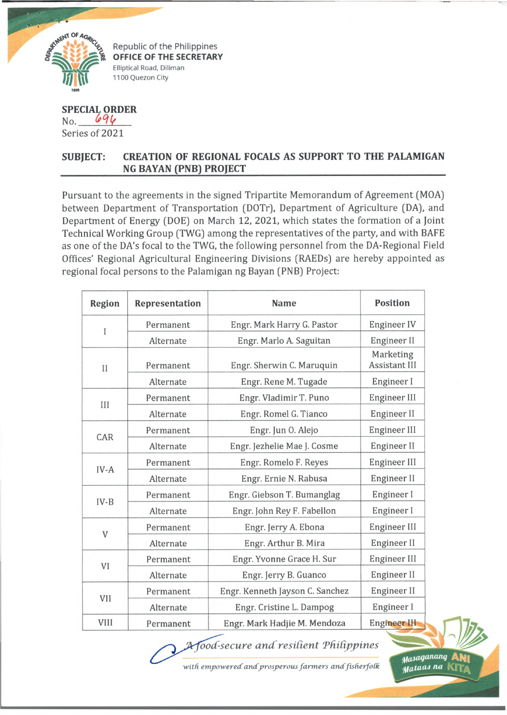

Republic of the Philippines **OFFICE OF THE SECRETARY** Elliptical Road, Diliman 1100 Quezon City

## **SPECIAL ORDER**  $No. 694$ Series of 2021

## **SUBJECT: CREATION OF REGIONAL FOCALS AS SUPPORT TO THE PALAMIGAN NG BAYAN (PNB) PROJECT**

Pursuant to the agreements in the signed Tripartite Memorandum of Agreement (MOA) between Department of Transportation (DOTr), Department of Agriculture [DA], and Department of Energy (DOE) on March 12, 2021, which states the formation of a Joint Technical Working Group (TWG) among the representatives of the party, and with BAFE as one of the DA's focal to the TWG, the following personnel from the DA-Regional Field Offices' Regional Agricultural Engineering Divisions (RAEDs) are hereby appointed as regional focal persons to the Palamigan ng Bayan (PNB) Project:

| <b>Region</b> | <b>Representation</b> | <b>Name</b>                                                                                                                                                                                       | <b>Position</b>                   |
|---------------|-----------------------|---------------------------------------------------------------------------------------------------------------------------------------------------------------------------------------------------|-----------------------------------|
| I             | Permanent             | Engr. Mark Harry G. Pastor                                                                                                                                                                        | Engineer IV                       |
|               | Alternate             | Engr. Marlo A. Saguitan                                                                                                                                                                           | Engineer II                       |
| $\mathbf{I}$  | Permanent             | Engr. Sherwin C. Maruquin                                                                                                                                                                         | Marketing<br><b>Assistant III</b> |
|               | Alternate             | Engr. Rene M. Tugade                                                                                                                                                                              | Engineer I                        |
| III           | Permanent             | Engr. Vladimir T. Puno                                                                                                                                                                            | Engineer III                      |
|               | Alternate             | Engr. Romel G. Tianco                                                                                                                                                                             | Engineer II                       |
| CAR           | Permanent             | Engr. Jun O. Alejo                                                                                                                                                                                | Engineer III                      |
|               | Alternate             | Engr. Jezhelie Mae J. Cosme                                                                                                                                                                       | Engineer II                       |
| IV-A          | Permanent             | Engr. Romelo F. Reyes                                                                                                                                                                             | Engineer III                      |
|               | Alternate             | Engr. Ernie N. Rabusa                                                                                                                                                                             | Engineer II                       |
| $IV-B$        | Permanent             | Engr. Giebson T. Bumanglag                                                                                                                                                                        | Engineer I                        |
|               | Alternate             | Engr. John Rey F. Fabellon                                                                                                                                                                        | Engineer I                        |
|               | Permanent             | Engr. Jerry A. Ebona<br>Engr. Arthur B. Mira<br>Engr. Yvonne Grace H. Sur<br>Engr. Jerry B. Guanco<br>Engr. Kenneth Jayson C. Sanchez<br>Engr. Cristine L. Dampog<br>Engr. Mark Hadjie M. Mendoza | Engineer III                      |
| V             | Alternate             |                                                                                                                                                                                                   | Engineer II                       |
| VI            | Permanent             |                                                                                                                                                                                                   | Engineer III                      |
|               | Alternate             |                                                                                                                                                                                                   | Engineer II                       |
|               | Permanent             |                                                                                                                                                                                                   | Engineer II                       |
| VII           | Alternate             |                                                                                                                                                                                                   | Engineer I                        |
| VIII          | Permanent             |                                                                                                                                                                                                   | Engineer III                      |

 $A$ food-secure and resilient Philippines

with empowered and prosperous farmers and fisherfolk

*^asaqancmq* AK|| *Mataas na*